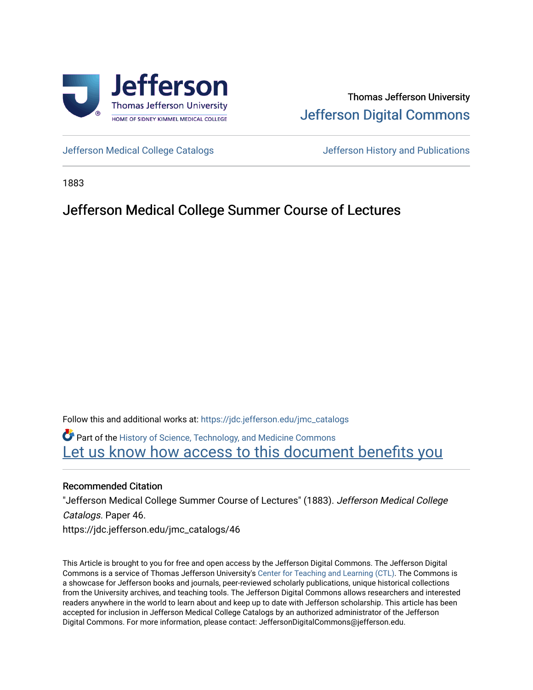

# Thomas Jefferson University [Jefferson Digital Commons](https://jdc.jefferson.edu/)

[Jefferson Medical College Catalogs](https://jdc.jefferson.edu/jmc_catalogs) [Jefferson History and Publications](https://jdc.jefferson.edu/jeffersonhistory) 

1883

## Jefferson Medical College Summer Course of Lectures

Follow this and additional works at: [https://jdc.jefferson.edu/jmc\\_catalogs](https://jdc.jefferson.edu/jmc_catalogs?utm_source=jdc.jefferson.edu%2Fjmc_catalogs%2F46&utm_medium=PDF&utm_campaign=PDFCoverPages) 

Part of the [History of Science, Technology, and Medicine Commons](http://network.bepress.com/hgg/discipline/500?utm_source=jdc.jefferson.edu%2Fjmc_catalogs%2F46&utm_medium=PDF&utm_campaign=PDFCoverPages)  Let us know how access to this document benefits you

### Recommended Citation

"Jefferson Medical College Summer Course of Lectures" (1883). Jefferson Medical College Catalogs. Paper 46. https://jdc.jefferson.edu/jmc\_catalogs/46

This Article is brought to you for free and open access by the Jefferson Digital Commons. The Jefferson Digital Commons is a service of Thomas Jefferson University's [Center for Teaching and Learning \(CTL\)](http://www.jefferson.edu/university/teaching-learning.html/). The Commons is a showcase for Jefferson books and journals, peer-reviewed scholarly publications, unique historical collections from the University archives, and teaching tools. The Jefferson Digital Commons allows researchers and interested readers anywhere in the world to learn about and keep up to date with Jefferson scholarship. This article has been accepted for inclusion in Jefferson Medical College Catalogs by an authorized administrator of the Jefferson Digital Commons. For more information, please contact: JeffersonDigitalCommons@jefferson.edu.